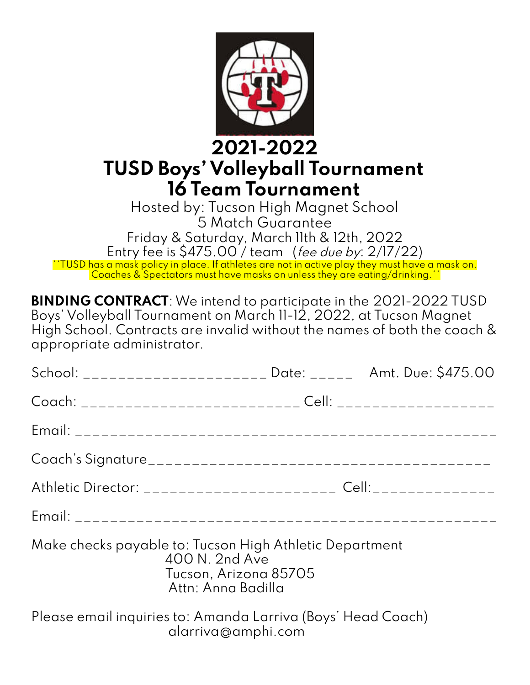

### **2021-2022 TUSD Boys' Volleyball Tournament 16 Team Tournament**

Hosted by: Tucson High Magnet School 5 Match Guarantee Friday & Saturday, March 11th & 12th, 2022 Entry fee is \$475.00 / team (fee due by: 2/17/22) \*\*TUSD has a mask policy in place. If athletes are not in active play they must have a mask on. Coaches & Spectators must have masks on unless they are eating/drinking.\*\*

**BINDING CONTRACT**:We intend to participate in the 2021-2022 TUSD Boys' Volleyball Tournament on March 11-12, 2022, at Tucson Magnet High School. Contracts are invalid without the names of both the coach & appropriate administrator.

|                                                                                    |                                                               |  | School: _____________________ Date: ______ Amt. Due: \$475.00                    |
|------------------------------------------------------------------------------------|---------------------------------------------------------------|--|----------------------------------------------------------------------------------|
|                                                                                    |                                                               |  | Coach: __________________________ Cell: ___________________                      |
|                                                                                    |                                                               |  |                                                                                  |
|                                                                                    |                                                               |  |                                                                                  |
|                                                                                    |                                                               |  | Athletic Director: ______________________ Cell:_________________________________ |
|                                                                                    |                                                               |  |                                                                                  |
| Make checks payable to: Tucson High Athletic Department                            | 400 N. 2nd Ave<br>Tucson, Arizona 85705<br>Attn: Anna Badilla |  |                                                                                  |
| Please email inquiries to: Amanda Larriva (Boys' Head Coach)<br>alarriva@amphi.com |                                                               |  |                                                                                  |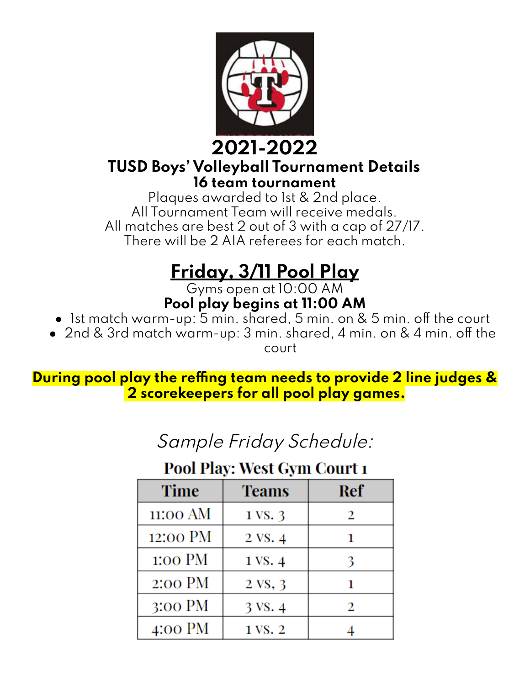

#### **2021-2022 TUSD Boys' Volleyball Tournament Details 16 team tournament**

Plaques awarded to 1st & 2nd place. All Tournament Team will receive medals. All matches are best 2 out of 3 with a cap of 27/17. There will be 2 AIA referees for each match.

# **Friday, 3/11 Pool Play**

Gyms open at 10:00 AM **Pool play begins at 11:00 AM**

- 1st match warm-up: 5 min. shared, 5 min. on & 5 min. off the court
- 2nd & 3rd match warm-up: 3 min. shared, 4 min. on & 4 min. off the court

**During pool play the reffing team needs to provide 2 line judges & 2 scorekeepers for all pool play games.**

### Sample Friday Schedule:

#### **Pool Play: West Gym Court 1**

| <b>Time</b>       | <b>Teams</b> | Ref |  |
|-------------------|--------------|-----|--|
| 11:00 AM          | 1 VS. 3      | 2   |  |
| 12:00 PM          | 2 VS. 4      |     |  |
| 1:00 PM           | 1 VS. 4      | 3   |  |
| 2:00 PM           | 2 VS, 3      |     |  |
| $3:00 \text{ PM}$ | 3 VS. 4      | 2   |  |
| 4:00 PM           | 1 VS. 2      |     |  |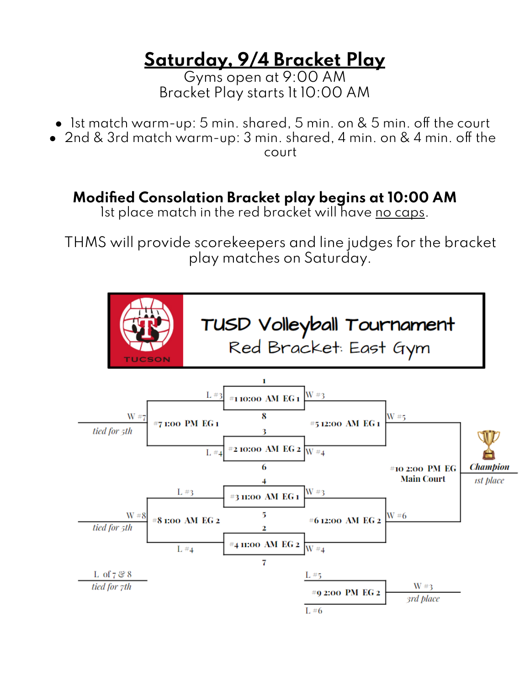## **Saturday, 9/4 Bracket Play**

Gyms open at 9:00 AM Bracket Play starts 1t 10:00 AM

- Ist match warm-up: 5 min. shared, 5 min. on & 5 min. off the court
- 2nd & 3rd match warm-up: 3 min. shared, 4 min. on & 4 min. off the court

#### **Modified Consolation Bracket play begins at 10:00 AM**

Ist place match in the red bracket will have no caps.

THMS will provide scorekeepers and line judges for the bracket play matches on Saturday.